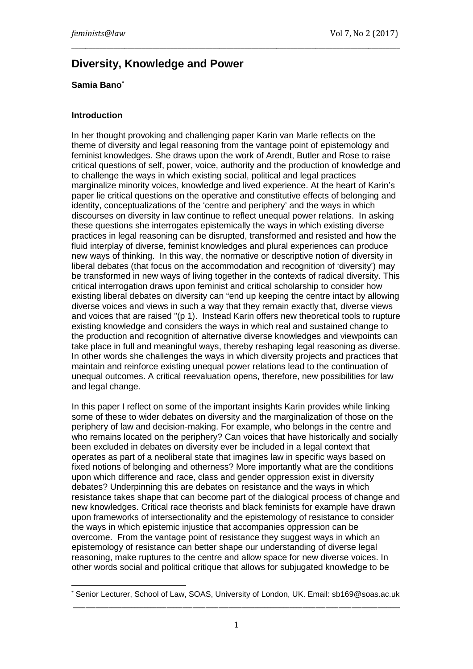# **Diversity, Knowledge and Power**

### **Samia Ban[o\\*](#page-0-0)**

#### **Introduction**

In her thought provoking and challenging paper Karin van Marle reflects on the theme of diversity and legal reasoning from the vantage point of epistemology and feminist knowledges. She draws upon the work of Arendt, Butler and Rose to raise critical questions of self, power, voice, authority and the production of knowledge and to challenge the ways in which existing social, political and legal practices marginalize minority voices, knowledge and lived experience. At the heart of Karin's paper lie critical questions on the operative and constitutive effects of belonging and identity, conceptualizations of the 'centre and periphery' and the ways in which discourses on diversity in law continue to reflect unequal power relations. In asking these questions she interrogates epistemically the ways in which existing diverse practices in legal reasoning can be disrupted, transformed and resisted and how the fluid interplay of diverse, feminist knowledges and plural experiences can produce new ways of thinking. In this way, the normative or descriptive notion of diversity in liberal debates (that focus on the accommodation and recognition of 'diversity') may be transformed in new ways of living together in the contexts of radical diversity. This critical interrogation draws upon feminist and critical scholarship to consider how existing liberal debates on diversity can "end up keeping the centre intact by allowing diverse voices and views in such a way that they remain exactly that, diverse views and voices that are raised "(p 1). Instead Karin offers new theoretical tools to rupture existing knowledge and considers the ways in which real and sustained change to the production and recognition of alternative diverse knowledges and viewpoints can take place in full and meaningful ways, thereby reshaping legal reasoning as diverse. In other words she challenges the ways in which diversity projects and practices that maintain and reinforce existing unequal power relations lead to the continuation of unequal outcomes. A critical reevaluation opens, therefore, new possibilities for law and legal change.

\_\_\_\_\_\_\_\_\_\_\_\_\_\_\_\_\_\_\_\_\_\_\_\_\_\_\_\_\_\_\_\_\_\_\_\_\_\_\_\_\_\_\_\_\_\_\_\_\_\_\_\_\_\_\_\_\_\_\_\_\_\_\_\_\_\_\_\_\_\_\_\_\_\_\_\_\_\_\_\_\_\_\_\_\_\_\_\_\_\_\_\_\_

In this paper I reflect on some of the important insights Karin provides while linking some of these to wider debates on diversity and the marginalization of those on the periphery of law and decision-making. For example, who belongs in the centre and who remains located on the periphery? Can voices that have historically and socially been excluded in debates on diversity ever be included in a legal context that operates as part of a neoliberal state that imagines law in specific ways based on fixed notions of belonging and otherness? More importantly what are the conditions upon which difference and race, class and gender oppression exist in diversity debates? Underpinning this are debates on resistance and the ways in which resistance takes shape that can become part of the dialogical process of change and new knowledges. Critical race theorists and black feminists for example have drawn upon frameworks of intersectionality and the epistemology of resistance to consider the ways in which epistemic injustice that accompanies oppression can be overcome. From the vantage point of resistance they suggest ways in which an epistemology of resistance can better shape our understanding of diverse legal reasoning, make ruptures to the centre and allow space for new diverse voices. In other words social and political critique that allows for subjugated knowledge to be

<span id="page-0-0"></span>Senior Lecturer, School of Law, SOAS, University of London, UK. Email: sb169@soas.ac.uk \_\_\_\_\_\_\_\_\_\_\_\_\_\_\_\_\_\_\_\_\_\_\_\_\_\_\_\_\_\_\_\_\_\_\_\_\_\_\_\_\_\_\_\_\_\_\_\_\_\_\_\_\_\_\_\_\_\_\_\_\_\_\_\_\_\_\_\_\_\_\_\_\_\_\_\_\_\_\_\_\_\_\_\_\_\_\_\_\_\_\_\_\_\_\_\_\_\_\_\_\_  $\overline{1}$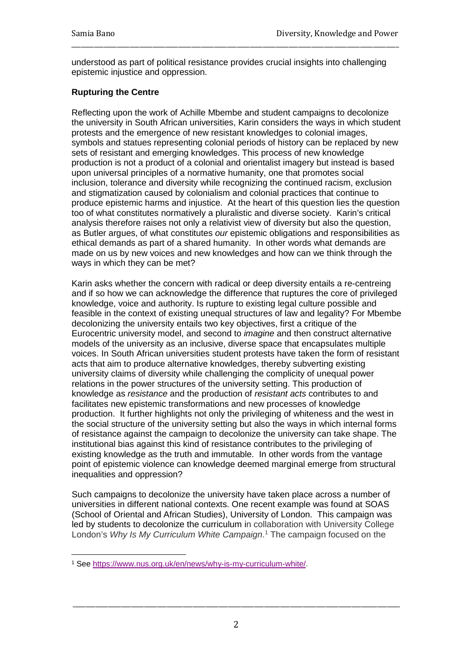understood as part of political resistance provides crucial insights into challenging epistemic injustice and oppression.

\_\_\_\_\_\_\_\_\_\_\_\_\_\_\_\_\_\_\_\_\_\_\_\_\_\_\_\_\_\_\_\_\_\_\_\_\_\_\_\_\_\_\_\_\_\_\_\_\_\_\_\_\_\_\_\_\_\_\_\_\_\_\_\_\_\_\_\_\_\_\_\_\_\_\_\_\_\_\_\_\_\_\_\_\_\_\_\_\_\_\_\_\_\_\_\_\_\_\_\_\_

## **Rupturing the Centre**

Reflecting upon the work of Achille Mbembe and student campaigns to decolonize the university in South African universities, Karin considers the ways in which student protests and the emergence of new resistant knowledges to colonial images, symbols and statues representing colonial periods of history can be replaced by new sets of resistant and emerging knowledges. This process of new knowledge production is not a product of a colonial and orientalist imagery but instead is based upon universal principles of a normative humanity, one that promotes social inclusion, tolerance and diversity while recognizing the continued racism, exclusion and stigmatization caused by colonialism and colonial practices that continue to produce epistemic harms and injustice. At the heart of this question lies the question too of what constitutes normatively a pluralistic and diverse society. Karin's critical analysis therefore raises not only a relativist view of diversity but also the question, as Butler argues, of what constitutes *our* epistemic obligations and responsibilities as ethical demands as part of a shared humanity. In other words what demands are made on us by new voices and new knowledges and how can we think through the ways in which they can be met?

Karin asks whether the concern with radical or deep diversity entails a re-centreing and if so how we can acknowledge the difference that ruptures the core of privileged knowledge, voice and authority. Is rupture to existing legal culture possible and feasible in the context of existing unequal structures of law and legality? For Mbembe decolonizing the university entails two key objectives, first a critique of the Eurocentric university model, and second to *imagine* and then construct alternative models of the university as an inclusive, diverse space that encapsulates multiple voices. In South African universities student protests have taken the form of resistant acts that aim to produce alternative knowledges, thereby subverting existing university claims of diversity while challenging the complicity of unequal power relations in the power structures of the university setting. This production of knowledge as *resistance* and the production of *resistant acts* contributes to and facilitates new epistemic transformations and new processes of knowledge production. It further highlights not only the privileging of whiteness and the west in the social structure of the university setting but also the ways in which internal forms of resistance against the campaign to decolonize the university can take shape. The institutional bias against this kind of resistance contributes to the privileging of existing knowledge as the truth and immutable. In other words from the vantage point of epistemic violence can knowledge deemed marginal emerge from structural inequalities and oppression?

Such campaigns to decolonize the university have taken place across a number of universities in different national contexts. One recent example was found at SOAS (School of Oriental and African Studies), University of London. This campaign was led by students to decolonize the curriculum in collaboration with University College London's *Why Is My Curriculum White Campaign*. [1](#page-1-0) The campaign focused on the

<span id="page-1-0"></span><sup>1</sup> See [https://www.nus.org.uk/en/news/why-is-my-curriculum-white/.](https://www.nus.org.uk/en/news/why-is-my-curriculum-white/)  $\overline{\phantom{a}}$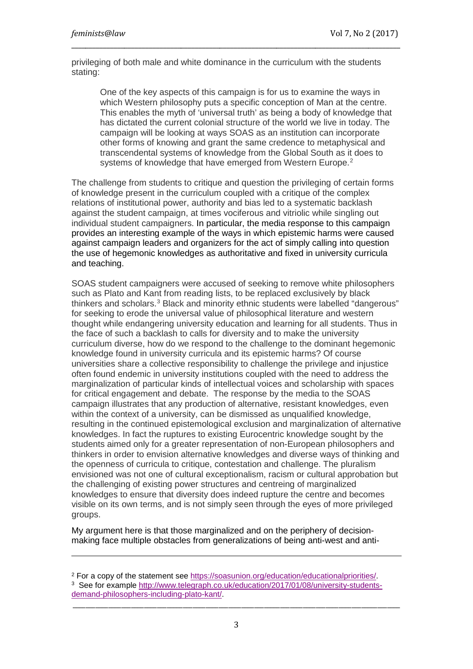i<br>I

privileging of both male and white dominance in the curriculum with the students stating:

\_\_\_\_\_\_\_\_\_\_\_\_\_\_\_\_\_\_\_\_\_\_\_\_\_\_\_\_\_\_\_\_\_\_\_\_\_\_\_\_\_\_\_\_\_\_\_\_\_\_\_\_\_\_\_\_\_\_\_\_\_\_\_\_\_\_\_\_\_\_\_\_\_\_\_\_\_\_\_\_\_\_\_\_\_\_\_\_\_\_\_\_\_

One of the key aspects of this campaign is for us to examine the ways in which Western philosophy puts a specific conception of Man at the centre. This enables the myth of 'universal truth' as being a body of knowledge that has dictated the current colonial structure of the world we live in today. The campaign will be looking at ways SOAS as an institution can incorporate other forms of knowing and grant the same credence to metaphysical and transcendental systems of knowledge from the Global South as it does to systems of knowledge that have emerged from Western Europe.<sup>[2](#page-2-0)</sup>

The challenge from students to critique and question the privileging of certain forms of knowledge present in the curriculum coupled with a critique of the complex relations of institutional power, authority and bias led to a systematic backlash against the student campaign, at times vociferous and vitriolic while singling out individual student campaigners. In particular, the media response to this campaign provides an interesting example of the ways in which epistemic harms were caused against campaign leaders and organizers for the act of simply calling into question the use of hegemonic knowledges as authoritative and fixed in university curricula and teaching.

SOAS student campaigners were accused of seeking to remove white philosophers such as Plato and Kant from reading lists, to be replaced exclusively by black thinkers and scholars. $^3$  $^3$  Black and minority ethnic students were labelled "dangerous" for seeking to erode the universal value of philosophical literature and western thought while endangering university education and learning for all students. Thus in the face of such a backlash to calls for diversity and to make the university curriculum diverse, how do we respond to the challenge to the dominant hegemonic knowledge found in university curricula and its epistemic harms? Of course universities share a collective responsibility to challenge the privilege and injustice often found endemic in university institutions coupled with the need to address the marginalization of particular kinds of intellectual voices and scholarship with spaces for critical engagement and debate. The response by the media to the SOAS campaign illustrates that any production of alternative, resistant knowledges, even within the context of a university, can be dismissed as unqualified knowledge, resulting in the continued epistemological exclusion and marginalization of alternative knowledges. In fact the ruptures to existing Eurocentric knowledge sought by the students aimed only for a greater representation of non-European philosophers and thinkers in order to envision alternative knowledges and diverse ways of thinking and the openness of curricula to critique, contestation and challenge. The pluralism envisioned was not one of cultural exceptionalism, racism or cultural approbation but the challenging of existing power structures and centreing of marginalized knowledges to ensure that diversity does indeed rupture the centre and becomes visible on its own terms, and is not simply seen through the eyes of more privileged groups.

My argument here is that those marginalized and on the periphery of decisionmaking face multiple obstacles from generalizations of being anti-west and anti-

<span id="page-2-1"></span><span id="page-2-0"></span><sup>&</sup>lt;sup>2</sup> For a copy of the statement see https://soasunion.org/education/educationalpriorities/.<br><sup>3</sup> See for example [http://www.telegraph.co.uk/education/2017/01/08/university-students](http://www.telegraph.co.uk/education/2017/01/08/university-students-demand-philosophers-including-plato-kant/)[demand-philosophers-including-plato-kant/.](http://www.telegraph.co.uk/education/2017/01/08/university-students-demand-philosophers-including-plato-kant/)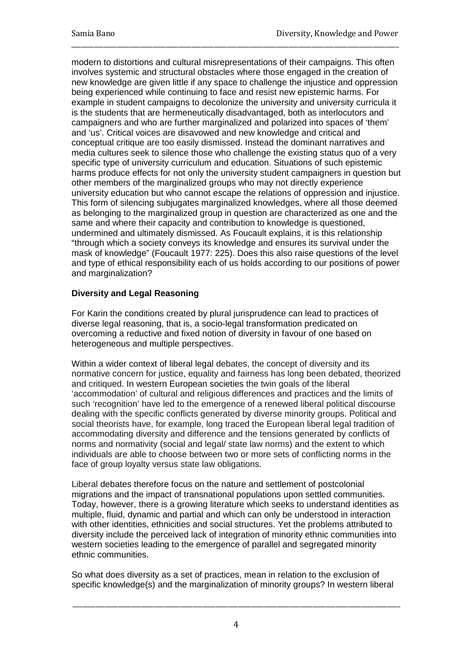modern to distortions and cultural misrepresentations of their campaigns. This often involves systemic and structural obstacles where those engaged in the creation of new knowledge are given little if any space to challenge the injustice and oppression being experienced while continuing to face and resist new epistemic harms. For example in student campaigns to decolonize the university and university curricula it is the students that are hermeneutically disadvantaged, both as interlocutors and campaigners and who are further marginalized and polarized into spaces of 'them' and 'us'. Critical voices are disavowed and new knowledge and critical and conceptual critique are too easily dismissed. Instead the dominant narratives and media cultures seek to silence those who challenge the existing status quo of a very specific type of university curriculum and education. Situations of such epistemic harms produce effects for not only the university student campaigners in question but other members of the marginalized groups who may not directly experience university education but who cannot escape the relations of oppression and injustice. This form of silencing subjugates marginalized knowledges, where all those deemed as belonging to the marginalized group in question are characterized as one and the same and where their capacity and contribution to knowledge is questioned, undermined and ultimately dismissed. As Foucault explains, it is this relationship "through which a society conveys its knowledge and ensures its survival under the mask of knowledge" (Foucault 1977: 225). Does this also raise questions of the level and type of ethical responsibility each of us holds according to our positions of power and marginalization?

\_\_\_\_\_\_\_\_\_\_\_\_\_\_\_\_\_\_\_\_\_\_\_\_\_\_\_\_\_\_\_\_\_\_\_\_\_\_\_\_\_\_\_\_\_\_\_\_\_\_\_\_\_\_\_\_\_\_\_\_\_\_\_\_\_\_\_\_\_\_\_\_\_\_\_\_\_\_\_\_\_\_\_\_\_\_\_\_\_\_\_\_\_\_\_\_\_\_\_\_\_

# **Diversity and Legal Reasoning**

For Karin the conditions created by plural jurisprudence can lead to practices of diverse legal reasoning, that is, a socio-legal transformation predicated on overcoming a reductive and fixed notion of diversity in favour of one based on heterogeneous and multiple perspectives.

Within a wider context of liberal legal debates, the concept of diversity and its normative concern for justice, equality and fairness has long been debated, theorized and critiqued. In western European societies the twin goals of the liberal 'accommodation' of cultural and religious differences and practices and the limits of such 'recognition' have led to the emergence of a renewed liberal political discourse dealing with the specific conflicts generated by diverse minority groups. Political and social theorists have, for example, long traced the European liberal legal tradition of accommodating diversity and difference and the tensions generated by conflicts of norms and normativity (social and legal/ state law norms) and the extent to which individuals are able to choose between two or more sets of conflicting norms in the face of group loyalty versus state law obligations.

Liberal debates therefore focus on the nature and settlement of postcolonial migrations and the impact of transnational populations upon settled communities. Today, however, there is a growing literature which seeks to understand identities as multiple, fluid, dynamic and partial and which can only be understood in interaction with other identities, ethnicities and social structures. Yet the problems attributed to diversity include the perceived lack of integration of minority ethnic communities into western societies leading to the emergence of parallel and segregated minority ethnic communities.

So what does diversity as a set of practices, mean in relation to the exclusion of specific knowledge(s) and the marginalization of minority groups? In western liberal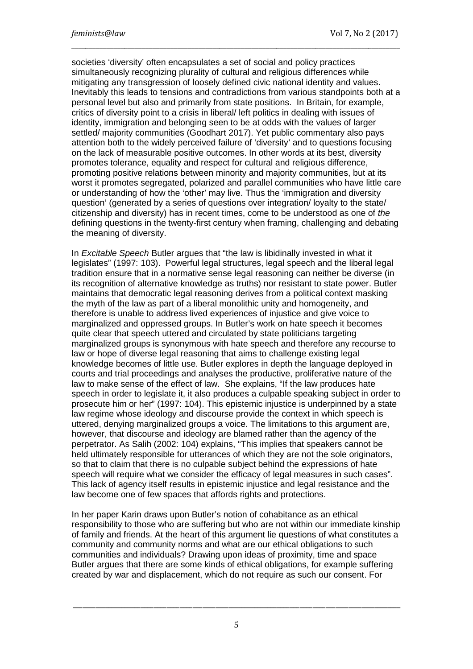societies 'diversity' often encapsulates a set of social and policy practices simultaneously recognizing plurality of cultural and religious differences while mitigating any transgression of loosely defined civic national identity and values. Inevitably this leads to tensions and contradictions from various standpoints both at a personal level but also and primarily from state positions. In Britain, for example, critics of diversity point to a crisis in liberal/ left politics in dealing with issues of identity, immigration and belonging seen to be at odds with the values of larger settled/ majority communities (Goodhart 2017). Yet public commentary also pays attention both to the widely perceived failure of 'diversity' and to questions focusing on the lack of measurable positive outcomes. In other words at its best, diversity promotes tolerance, equality and respect for cultural and religious difference, promoting positive relations between minority and majority communities, but at its worst it promotes segregated, polarized and parallel communities who have little care or understanding of how the 'other' may live. Thus the 'immigration and diversity question' (generated by a series of questions over integration/ loyalty to the state/ citizenship and diversity) has in recent times, come to be understood as one of *the* defining questions in the twenty-first century when framing, challenging and debating the meaning of diversity.

\_\_\_\_\_\_\_\_\_\_\_\_\_\_\_\_\_\_\_\_\_\_\_\_\_\_\_\_\_\_\_\_\_\_\_\_\_\_\_\_\_\_\_\_\_\_\_\_\_\_\_\_\_\_\_\_\_\_\_\_\_\_\_\_\_\_\_\_\_\_\_\_\_\_\_\_\_\_\_\_\_\_\_\_\_\_\_\_\_\_\_\_\_

In *Excitable Speech* Butler argues that "the law is libidinally invested in what it legislates" (1997: 103). Powerful legal structures, legal speech and the liberal legal tradition ensure that in a normative sense legal reasoning can neither be diverse (in its recognition of alternative knowledge as truths) nor resistant to state power. Butler maintains that democratic legal reasoning derives from a political context masking the myth of the law as part of a liberal monolithic unity and homogeneity, and therefore is unable to address lived experiences of injustice and give voice to marginalized and oppressed groups. In Butler's work on hate speech it becomes quite clear that speech uttered and circulated by state politicians targeting marginalized groups is synonymous with hate speech and therefore any recourse to law or hope of diverse legal reasoning that aims to challenge existing legal knowledge becomes of little use. Butler explores in depth the language deployed in courts and trial proceedings and analyses the productive, proliferative nature of the law to make sense of the effect of law. She explains, "If the law produces hate speech in order to legislate it, it also produces a culpable speaking subject in order to prosecute him or her" (1997: 104). This epistemic injustice is underpinned by a state law regime whose ideology and discourse provide the context in which speech is uttered, denying marginalized groups a voice. The limitations to this argument are, however, that discourse and ideology are blamed rather than the agency of the perpetrator. As Salih (2002: 104) explains, "This implies that speakers cannot be held ultimately responsible for utterances of which they are not the sole originators, so that to claim that there is no culpable subject behind the expressions of hate speech will require what we consider the efficacy of legal measures in such cases". This lack of agency itself results in epistemic injustice and legal resistance and the law become one of few spaces that affords rights and protections.

In her paper Karin draws upon Butler's notion of cohabitance as an ethical responsibility to those who are suffering but who are not within our immediate kinship of family and friends. At the heart of this argument lie questions of what constitutes a community and community norms and what are our ethical obligations to such communities and individuals? Drawing upon ideas of proximity, time and space Butler argues that there are some kinds of ethical obligations, for example suffering created by war and displacement, which do not require as such our consent. For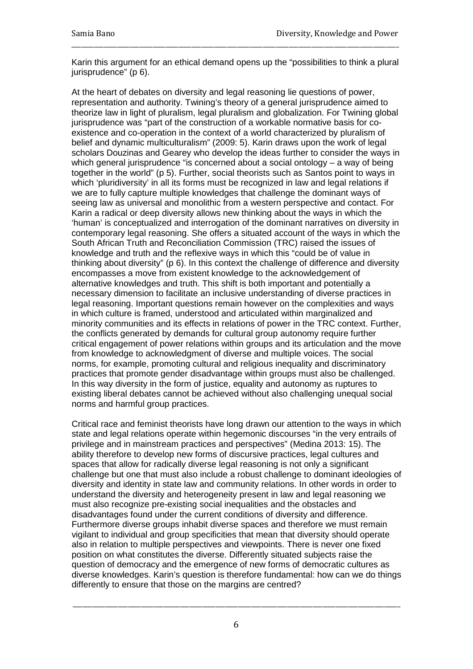Karin this argument for an ethical demand opens up the "possibilities to think a plural jurisprudence" (p 6).

\_\_\_\_\_\_\_\_\_\_\_\_\_\_\_\_\_\_\_\_\_\_\_\_\_\_\_\_\_\_\_\_\_\_\_\_\_\_\_\_\_\_\_\_\_\_\_\_\_\_\_\_\_\_\_\_\_\_\_\_\_\_\_\_\_\_\_\_\_\_\_\_\_\_\_\_\_\_\_\_\_\_\_\_\_\_\_\_\_\_\_\_\_\_\_\_\_\_\_\_\_

At the heart of debates on diversity and legal reasoning lie questions of power, representation and authority. Twining's theory of a general jurisprudence aimed to theorize law in light of pluralism, legal pluralism and globalization. For Twining global jurisprudence was "part of the construction of a workable normative basis for coexistence and co-operation in the context of a world characterized by pluralism of belief and dynamic multiculturalism" (2009: 5). Karin draws upon the work of legal scholars Douzinas and Gearey who develop the ideas further to consider the ways in which general jurisprudence "is concerned about a social ontology – a way of being together in the world" (p 5). Further, social theorists such as Santos point to ways in which 'pluridiversity' in all its forms must be recognized in law and legal relations if we are to fully capture multiple knowledges that challenge the dominant ways of seeing law as universal and monolithic from a western perspective and contact. For Karin a radical or deep diversity allows new thinking about the ways in which the 'human' is conceptualized and interrogation of the dominant narratives on diversity in contemporary legal reasoning. She offers a situated account of the ways in which the South African Truth and Reconciliation Commission (TRC) raised the issues of knowledge and truth and the reflexive ways in which this "could be of value in thinking about diversity" (p 6). In this context the challenge of difference and diversity encompasses a move from existent knowledge to the acknowledgement of alternative knowledges and truth. This shift is both important and potentially a necessary dimension to facilitate an inclusive understanding of diverse practices in legal reasoning. Important questions remain however on the complexities and ways in which culture is framed, understood and articulated within marginalized and minority communities and its effects in relations of power in the TRC context. Further, the conflicts generated by demands for cultural group autonomy require further critical engagement of power relations within groups and its articulation and the move from knowledge to acknowledgment of diverse and multiple voices. The social norms, for example, promoting cultural and religious inequality and discriminatory practices that promote gender disadvantage within groups must also be challenged. In this way diversity in the form of justice, equality and autonomy as ruptures to existing liberal debates cannot be achieved without also challenging unequal social norms and harmful group practices.

Critical race and feminist theorists have long drawn our attention to the ways in which state and legal relations operate within hegemonic discourses "in the very entrails of privilege and in mainstream practices and perspectives" (Medina 2013: 15). The ability therefore to develop new forms of discursive practices, legal cultures and spaces that allow for radically diverse legal reasoning is not only a significant challenge but one that must also include a robust challenge to dominant ideologies of diversity and identity in state law and community relations. In other words in order to understand the diversity and heterogeneity present in law and legal reasoning we must also recognize pre-existing social inequalities and the obstacles and disadvantages found under the current conditions of diversity and difference. Furthermore diverse groups inhabit diverse spaces and therefore we must remain vigilant to individual and group specificities that mean that diversity should operate also in relation to multiple perspectives and viewpoints. There is never one fixed position on what constitutes the diverse. Differently situated subjects raise the question of democracy and the emergence of new forms of democratic cultures as diverse knowledges. Karin's question is therefore fundamental: how can we do things differently to ensure that those on the margins are centred?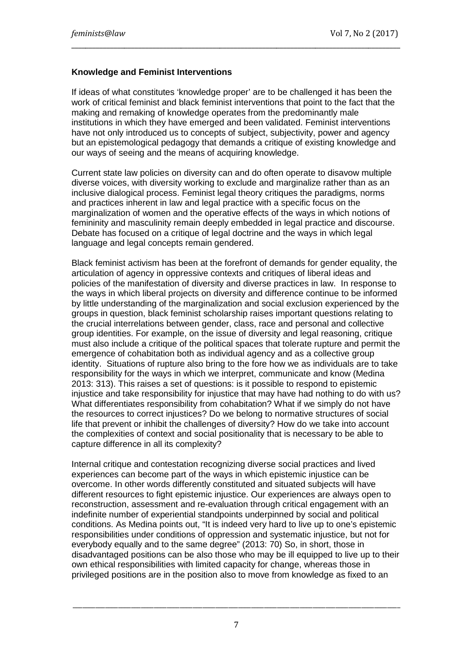### **Knowledge and Feminist Interventions**

If ideas of what constitutes 'knowledge proper' are to be challenged it has been the work of critical feminist and black feminist interventions that point to the fact that the making and remaking of knowledge operates from the predominantly male institutions in which they have emerged and been validated. Feminist interventions have not only introduced us to concepts of subject, subjectivity, power and agency but an epistemological pedagogy that demands a critique of existing knowledge and our ways of seeing and the means of acquiring knowledge.

\_\_\_\_\_\_\_\_\_\_\_\_\_\_\_\_\_\_\_\_\_\_\_\_\_\_\_\_\_\_\_\_\_\_\_\_\_\_\_\_\_\_\_\_\_\_\_\_\_\_\_\_\_\_\_\_\_\_\_\_\_\_\_\_\_\_\_\_\_\_\_\_\_\_\_\_\_\_\_\_\_\_\_\_\_\_\_\_\_\_\_\_\_

Current state law policies on diversity can and do often operate to disavow multiple diverse voices, with diversity working to exclude and marginalize rather than as an inclusive dialogical process. Feminist legal theory critiques the paradigms, norms and practices inherent in law and legal practice with a specific focus on the marginalization of women and the operative effects of the ways in which notions of femininity and masculinity remain deeply embedded in legal practice and discourse. Debate has focused on a critique of legal doctrine and the ways in which legal language and legal concepts remain gendered.

Black feminist activism has been at the forefront of demands for gender equality, the articulation of agency in oppressive contexts and critiques of liberal ideas and policies of the manifestation of diversity and diverse practices in law. In response to the ways in which liberal projects on diversity and difference continue to be informed by little understanding of the marginalization and social exclusion experienced by the groups in question, black feminist scholarship raises important questions relating to the crucial interrelations between gender, class, race and personal and collective group identities. For example, on the issue of diversity and legal reasoning, critique must also include a critique of the political spaces that tolerate rupture and permit the emergence of cohabitation both as individual agency and as a collective group identity. Situations of rupture also bring to the fore how we as individuals are to take responsibility for the ways in which we interpret, communicate and know (Medina 2013: 313). This raises a set of questions: is it possible to respond to epistemic injustice and take responsibility for injustice that may have had nothing to do with us? What differentiates responsibility from cohabitation? What if we simply do not have the resources to correct injustices? Do we belong to normative structures of social life that prevent or inhibit the challenges of diversity? How do we take into account the complexities of context and social positionality that is necessary to be able to capture difference in all its complexity?

Internal critique and contestation recognizing diverse social practices and lived experiences can become part of the ways in which epistemic injustice can be overcome. In other words differently constituted and situated subjects will have different resources to fight epistemic injustice. Our experiences are always open to reconstruction, assessment and re-evaluation through critical engagement with an indefinite number of experiential standpoints underpinned by social and political conditions. As Medina points out, "It is indeed very hard to live up to one's epistemic responsibilities under conditions of oppression and systematic injustice, but not for everybody equally and to the same degree" (2013: 70) So, in short, those in disadvantaged positions can be also those who may be ill equipped to live up to their own ethical responsibilities with limited capacity for change, whereas those in privileged positions are in the position also to move from knowledge as fixed to an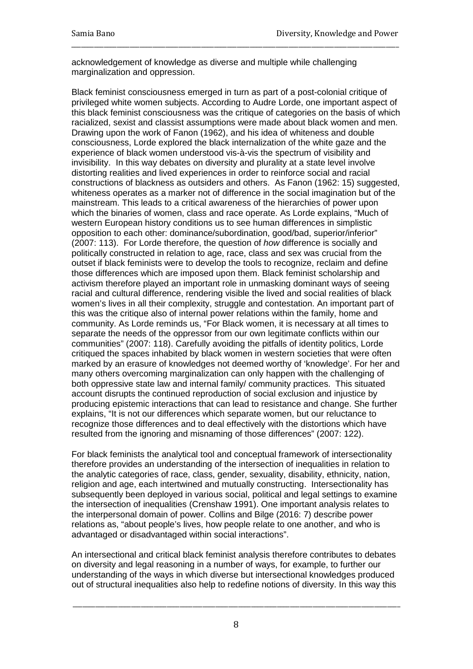acknowledgement of knowledge as diverse and multiple while challenging marginalization and oppression.

\_\_\_\_\_\_\_\_\_\_\_\_\_\_\_\_\_\_\_\_\_\_\_\_\_\_\_\_\_\_\_\_\_\_\_\_\_\_\_\_\_\_\_\_\_\_\_\_\_\_\_\_\_\_\_\_\_\_\_\_\_\_\_\_\_\_\_\_\_\_\_\_\_\_\_\_\_\_\_\_\_\_\_\_\_\_\_\_\_\_\_\_\_\_\_\_\_\_\_\_\_

Black feminist consciousness emerged in turn as part of a post-colonial critique of privileged white women subjects. According to Audre Lorde, one important aspect of this black feminist consciousness was the critique of categories on the basis of which racialized, sexist and classist assumptions were made about black women and men. Drawing upon the work of Fanon (1962), and his idea of whiteness and double consciousness, Lorde explored the black internalization of the white gaze and the experience of black women understood vis-à-vis the spectrum of visibility and invisibility. In this way debates on diversity and plurality at a state level involve distorting realities and lived experiences in order to reinforce social and racial constructions of blackness as outsiders and others. As Fanon (1962: 15) suggested, whiteness operates as a marker not of difference in the social imagination but of the mainstream. This leads to a critical awareness of the hierarchies of power upon which the binaries of women, class and race operate. As Lorde explains, "Much of western European history conditions us to see human differences in simplistic opposition to each other: dominance/subordination, good/bad, superior/inferior" (2007: 113). For Lorde therefore, the question of *how* difference is socially and politically constructed in relation to age, race, class and sex was crucial from the outset if black feminists were to develop the tools to recognize, reclaim and define those differences which are imposed upon them. Black feminist scholarship and activism therefore played an important role in unmasking dominant ways of seeing racial and cultural difference, rendering visible the lived and social realities of black women's lives in all their complexity, struggle and contestation. An important part of this was the critique also of internal power relations within the family, home and community. As Lorde reminds us, "For Black women, it is necessary at all times to separate the needs of the oppressor from our own legitimate conflicts within our communities" (2007: 118). Carefully avoiding the pitfalls of identity politics, Lorde critiqued the spaces inhabited by black women in western societies that were often marked by an erasure of knowledges not deemed worthy of 'knowledge'. For her and many others overcoming marginalization can only happen with the challenging of both oppressive state law and internal family/ community practices. This situated account disrupts the continued reproduction of social exclusion and injustice by producing epistemic interactions that can lead to resistance and change. She further explains, "It is not our differences which separate women, but our reluctance to recognize those differences and to deal effectively with the distortions which have resulted from the ignoring and misnaming of those differences" (2007: 122).

For black feminists the analytical tool and conceptual framework of intersectionality therefore provides an understanding of the intersection of inequalities in relation to the analytic categories of race, class, gender, sexuality, disability, ethnicity, nation, religion and age, each intertwined and mutually constructing. Intersectionality has subsequently been deployed in various social, political and legal settings to examine the intersection of inequalities (Crenshaw 1991). One important analysis relates to the interpersonal domain of power. Collins and Bilge (2016: 7) describe power relations as, "about people's lives, how people relate to one another, and who is advantaged or disadvantaged within social interactions".

An intersectional and critical black feminist analysis therefore contributes to debates on diversity and legal reasoning in a number of ways, for example, to further our understanding of the ways in which diverse but intersectional knowledges produced out of structural inequalities also help to redefine notions of diversity. In this way this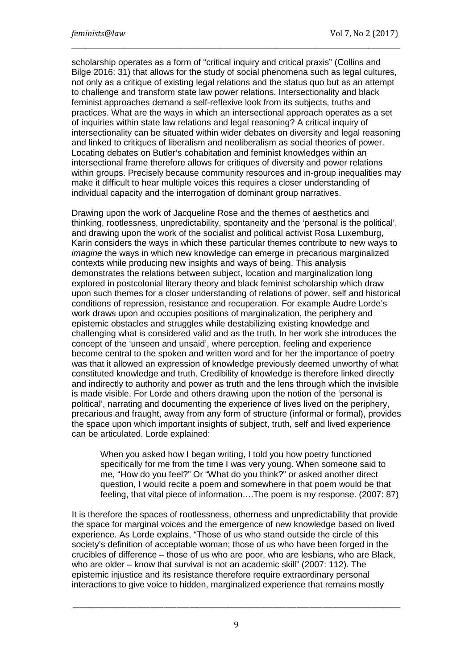scholarship operates as a form of "critical inquiry and critical praxis" (Collins and Bilge 2016: 31) that allows for the study of social phenomena such as legal cultures, not only as a critique of existing legal relations and the status quo but as an attempt to challenge and transform state law power relations. Intersectionality and black feminist approaches demand a self-reflexive look from its subjects, truths and practices. What are the ways in which an intersectional approach operates as a set of inquiries within state law relations and legal reasoning? A critical inquiry of intersectionality can be situated within wider debates on diversity and legal reasoning and linked to critiques of liberalism and neoliberalism as social theories of power. Locating debates on Butler's cohabitation and feminist knowledges within an intersectional frame therefore allows for critiques of diversity and power relations within groups. Precisely because community resources and in-group inequalities may make it difficult to hear multiple voices this requires a closer understanding of individual capacity and the interrogation of dominant group narratives.

\_\_\_\_\_\_\_\_\_\_\_\_\_\_\_\_\_\_\_\_\_\_\_\_\_\_\_\_\_\_\_\_\_\_\_\_\_\_\_\_\_\_\_\_\_\_\_\_\_\_\_\_\_\_\_\_\_\_\_\_\_\_\_\_\_\_\_\_\_\_\_\_\_\_\_\_\_\_\_\_\_\_\_\_\_\_\_\_\_\_\_\_\_

Drawing upon the work of Jacqueline Rose and the themes of aesthetics and thinking, rootlessness, unpredictability, spontaneity and the 'personal is the political', and drawing upon the work of the socialist and political activist Rosa Luxemburg, Karin considers the ways in which these particular themes contribute to new ways to *imagine* the ways in which new knowledge can emerge in precarious marginalized contexts while producing new insights and ways of being. This analysis demonstrates the relations between subject, location and marginalization long explored in postcolonial literary theory and black feminist scholarship which draw upon such themes for a closer understanding of relations of power, self and historical conditions of repression, resistance and recuperation. For example Audre Lorde's work draws upon and occupies positions of marginalization, the periphery and epistemic obstacles and struggles while destabilizing existing knowledge and challenging what is considered valid and as the truth. In her work she introduces the concept of the 'unseen and unsaid', where perception, feeling and experience become central to the spoken and written word and for her the importance of poetry was that it allowed an expression of knowledge previously deemed unworthy of what constituted knowledge and truth. Credibility of knowledge is therefore linked directly and indirectly to authority and power as truth and the lens through which the invisible is made visible. For Lorde and others drawing upon the notion of the 'personal is political', narrating and documenting the experience of lives lived on the periphery, precarious and fraught, away from any form of structure (informal or formal), provides the space upon which important insights of subject, truth, self and lived experience can be articulated. Lorde explained:

When you asked how I began writing, I told you how poetry functioned specifically for me from the time I was very young. When someone said to me, "How do you feel?" Or "What do you think?" or asked another direct question, I would recite a poem and somewhere in that poem would be that feeling, that vital piece of information….The poem is my response. (2007: 87)

It is therefore the spaces of rootlessness, otherness and unpredictability that provide the space for marginal voices and the emergence of new knowledge based on lived experience. As Lorde explains, "Those of us who stand outside the circle of this society's definition of acceptable woman; those of us who have been forged in the crucibles of difference – those of us who are poor, who are lesbians, who are Black, who are older – know that survival is not an academic skill" (2007: 112). The epistemic injustice and its resistance therefore require extraordinary personal interactions to give voice to hidden, marginalized experience that remains mostly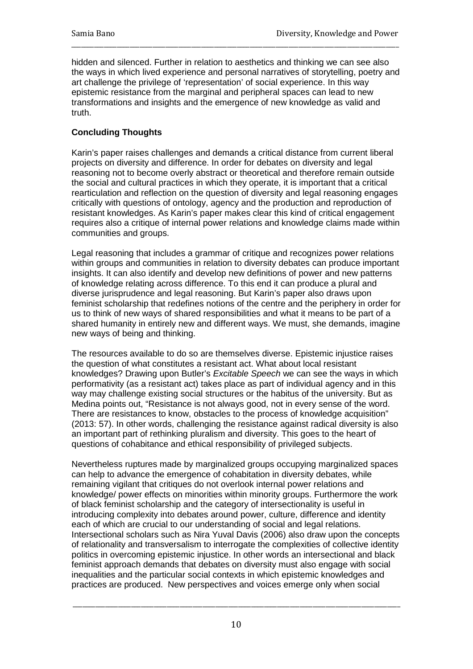hidden and silenced. Further in relation to aesthetics and thinking we can see also the ways in which lived experience and personal narratives of storytelling, poetry and art challenge the privilege of 'representation' of social experience. In this way epistemic resistance from the marginal and peripheral spaces can lead to new transformations and insights and the emergence of new knowledge as valid and truth.

\_\_\_\_\_\_\_\_\_\_\_\_\_\_\_\_\_\_\_\_\_\_\_\_\_\_\_\_\_\_\_\_\_\_\_\_\_\_\_\_\_\_\_\_\_\_\_\_\_\_\_\_\_\_\_\_\_\_\_\_\_\_\_\_\_\_\_\_\_\_\_\_\_\_\_\_\_\_\_\_\_\_\_\_\_\_\_\_\_\_\_\_\_\_\_\_\_\_\_\_\_

### **Concluding Thoughts**

Karin's paper raises challenges and demands a critical distance from current liberal projects on diversity and difference. In order for debates on diversity and legal reasoning not to become overly abstract or theoretical and therefore remain outside the social and cultural practices in which they operate, it is important that a critical rearticulation and reflection on the question of diversity and legal reasoning engages critically with questions of ontology, agency and the production and reproduction of resistant knowledges. As Karin's paper makes clear this kind of critical engagement requires also a critique of internal power relations and knowledge claims made within communities and groups.

Legal reasoning that includes a grammar of critique and recognizes power relations within groups and communities in relation to diversity debates can produce important insights. It can also identify and develop new definitions of power and new patterns of knowledge relating across difference. To this end it can produce a plural and diverse jurisprudence and legal reasoning. But Karin's paper also draws upon feminist scholarship that redefines notions of the centre and the periphery in order for us to think of new ways of shared responsibilities and what it means to be part of a shared humanity in entirely new and different ways. We must, she demands, imagine new ways of being and thinking.

The resources available to do so are themselves diverse. Epistemic injustice raises the question of what constitutes a resistant act. What about local resistant knowledges? Drawing upon Butler's *Excitable Speech* we can see the ways in which performativity (as a resistant act) takes place as part of individual agency and in this way may challenge existing social structures or the habitus of the university. But as Medina points out, "Resistance is not always good, not in every sense of the word. There are resistances to know, obstacles to the process of knowledge acquisition" (2013: 57). In other words, challenging the resistance against radical diversity is also an important part of rethinking pluralism and diversity. This goes to the heart of questions of cohabitance and ethical responsibility of privileged subjects.

Nevertheless ruptures made by marginalized groups occupying marginalized spaces can help to advance the emergence of cohabitation in diversity debates, while remaining vigilant that critiques do not overlook internal power relations and knowledge/ power effects on minorities within minority groups. Furthermore the work of black feminist scholarship and the category of intersectionality is useful in introducing complexity into debates around power, culture, difference and identity each of which are crucial to our understanding of social and legal relations. Intersectional scholars such as Nira Yuval Davis (2006) also draw upon the concepts of relationality and transversalism to interrogate the complexities of collective identity politics in overcoming epistemic injustice. In other words an intersectional and black feminist approach demands that debates on diversity must also engage with social inequalities and the particular social contexts in which epistemic knowledges and practices are produced. New perspectives and voices emerge only when social